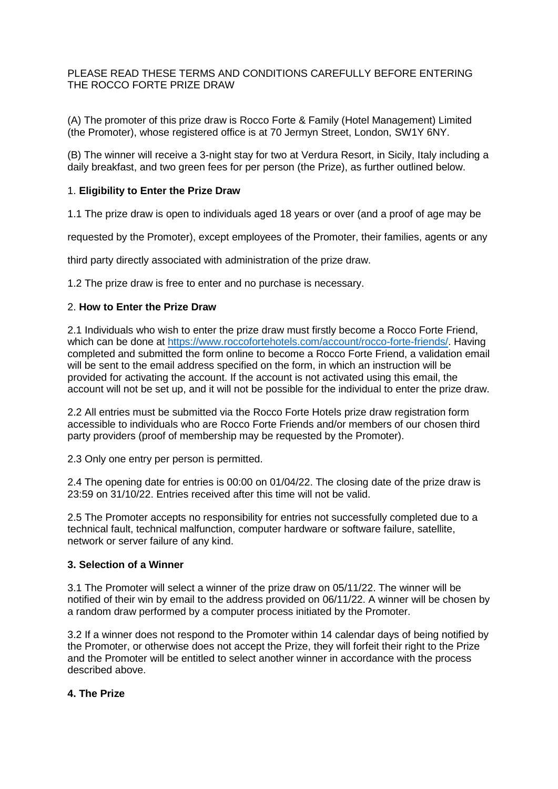## PLEASE READ THESE TERMS AND CONDITIONS CAREFULLY BEFORE ENTERING THE ROCCO FORTE PRIZE DRAW

(A) The promoter of this prize draw is Rocco Forte & Family (Hotel Management) Limited (the Promoter), whose registered office is at 70 Jermyn Street, London, SW1Y 6NY.

(B) The winner will receive a 3-night stay for two at Verdura Resort, in Sicily, Italy including a daily breakfast, and two green fees for per person (the Prize), as further outlined below.

## 1. **Eligibility to Enter the Prize Draw**

1.1 The prize draw is open to individuals aged 18 years or over (and a proof of age may be

requested by the Promoter), except employees of the Promoter, their families, agents or any

third party directly associated with administration of the prize draw.

1.2 The prize draw is free to enter and no purchase is necessary.

## 2. **How to Enter the Prize Draw**

2.1 Individuals who wish to enter the prize draw must firstly become a Rocco Forte Friend, which can be done at [https://www.roccofortehotels.com/account/rocco-forte-friends/.](https://www.roccofortehotels.com/account/rocco-forte-friends/) Having completed and submitted the form online to become a Rocco Forte Friend, a validation email will be sent to the email address specified on the form, in which an instruction will be provided for activating the account. If the account is not activated using this email, the account will not be set up, and it will not be possible for the individual to enter the prize draw.

2.2 All entries must be submitted via the Rocco Forte Hotels prize draw registration form accessible to individuals who are Rocco Forte Friends and/or members of our chosen third party providers (proof of membership may be requested by the Promoter).

2.3 Only one entry per person is permitted.

2.4 The opening date for entries is 00:00 on 01/04/22. The closing date of the prize draw is 23:59 on 31/10/22. Entries received after this time will not be valid.

2.5 The Promoter accepts no responsibility for entries not successfully completed due to a technical fault, technical malfunction, computer hardware or software failure, satellite, network or server failure of any kind.

#### **3. Selection of a Winner**

3.1 The Promoter will select a winner of the prize draw on 05/11/22. The winner will be notified of their win by email to the address provided on 06/11/22. A winner will be chosen by a random draw performed by a computer process initiated by the Promoter.

3.2 If a winner does not respond to the Promoter within 14 calendar days of being notified by the Promoter, or otherwise does not accept the Prize, they will forfeit their right to the Prize and the Promoter will be entitled to select another winner in accordance with the process described above.

### **4. The Prize**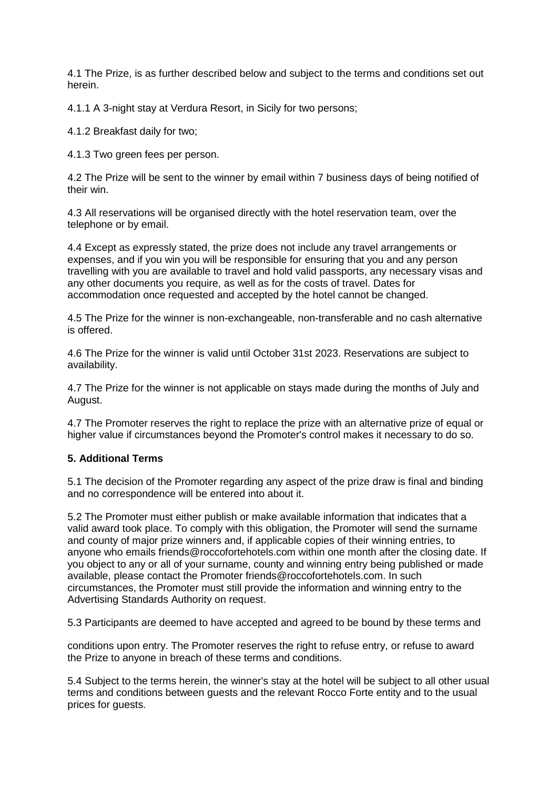4.1 The Prize, is as further described below and subject to the terms and conditions set out herein.

4.1.1 A 3-night stay at Verdura Resort, in Sicily for two persons;

4.1.2 Breakfast daily for two;

4.1.3 Two green fees per person.

4.2 The Prize will be sent to the winner by email within 7 business days of being notified of their win.

4.3 All reservations will be organised directly with the hotel reservation team, over the telephone or by email.

4.4 Except as expressly stated, the prize does not include any travel arrangements or expenses, and if you win you will be responsible for ensuring that you and any person travelling with you are available to travel and hold valid passports, any necessary visas and any other documents you require, as well as for the costs of travel. Dates for accommodation once requested and accepted by the hotel cannot be changed.

4.5 The Prize for the winner is non-exchangeable, non-transferable and no cash alternative is offered.

4.6 The Prize for the winner is valid until October 31st 2023. Reservations are subject to availability.

4.7 The Prize for the winner is not applicable on stays made during the months of July and August.

4.7 The Promoter reserves the right to replace the prize with an alternative prize of equal or higher value if circumstances beyond the Promoter's control makes it necessary to do so.

# **5. Additional Terms**

5.1 The decision of the Promoter regarding any aspect of the prize draw is final and binding and no correspondence will be entered into about it.

5.2 The Promoter must either publish or make available information that indicates that a valid award took place. To comply with this obligation, the Promoter will send the surname and county of major prize winners and, if applicable copies of their winning entries, to anyone who emails friends@roccofortehotels.com within one month after the closing date. If you object to any or all of your surname, county and winning entry being published or made available, please contact the Promoter friends@roccofortehotels.com. In such circumstances, the Promoter must still provide the information and winning entry to the Advertising Standards Authority on request.

5.3 Participants are deemed to have accepted and agreed to be bound by these terms and

conditions upon entry. The Promoter reserves the right to refuse entry, or refuse to award the Prize to anyone in breach of these terms and conditions.

5.4 Subject to the terms herein, the winner's stay at the hotel will be subject to all other usual terms and conditions between guests and the relevant Rocco Forte entity and to the usual prices for guests.